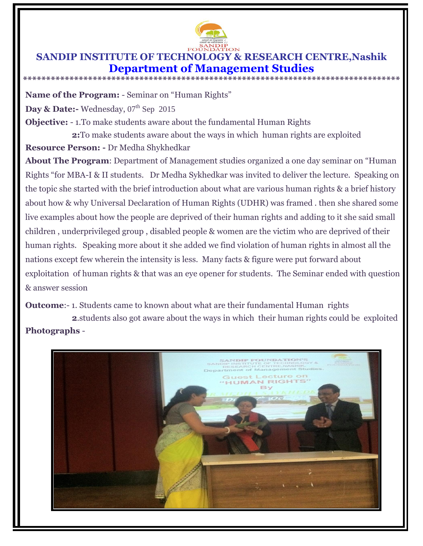

## **SANDIP INSTITUTE OF TECHNOLOGY & RESEARCH CENTRE,Nashik Department of Management Studies \*\*\*\*\*\*\*\*\*\*\*\*\*\*\*\*\*\*\*\*\*\*\*\*\*\*\*\*\*\*\*\*\*\*\*\*\*\*\*\*\*\*\*\*\*\*\*\*\*\*\*\*\*\*\*\*\*\*\*\*\*\*\*\*\*\*\*\*\*\*\*\*\*\*\*\*\*\*\*\*\***

**Name of the Program:** - Seminar on "Human Rights"

Day & Date:- Wednesday, 07<sup>th</sup> Sep 2015

**Objective:** - 1. To make students aware about the fundamental Human Rights

**2:**To make students aware about the ways in which human rights are exploited

**Resource Person: -** Dr Medha Shykhedkar

**About The Program**: Department of Management studies organized a one day seminar on "Human Rights "for MBA-I & II students. Dr Medha Sykhedkar was invited to deliver the lecture. Speaking on the topic she started with the brief introduction about what are various human rights & a brief history about how & why Universal Declaration of Human Rights (UDHR) was framed . then she shared some live examples about how the people are deprived of their human rights and adding to it she said small children , underprivileged group , disabled people & women are the victim who are deprived of their human rights. Speaking more about it she added we find violation of human rights in almost all the nations except few wherein the intensity is less. Many facts & figure were put forward about exploitation of human rights & that was an eye opener for students. The Seminar ended with question & answer session

**Outcome:** - 1. Students came to known about what are their fundamental Human rights **2**.students also got aware about the ways in which their human rights could be exploited **Photographs** -